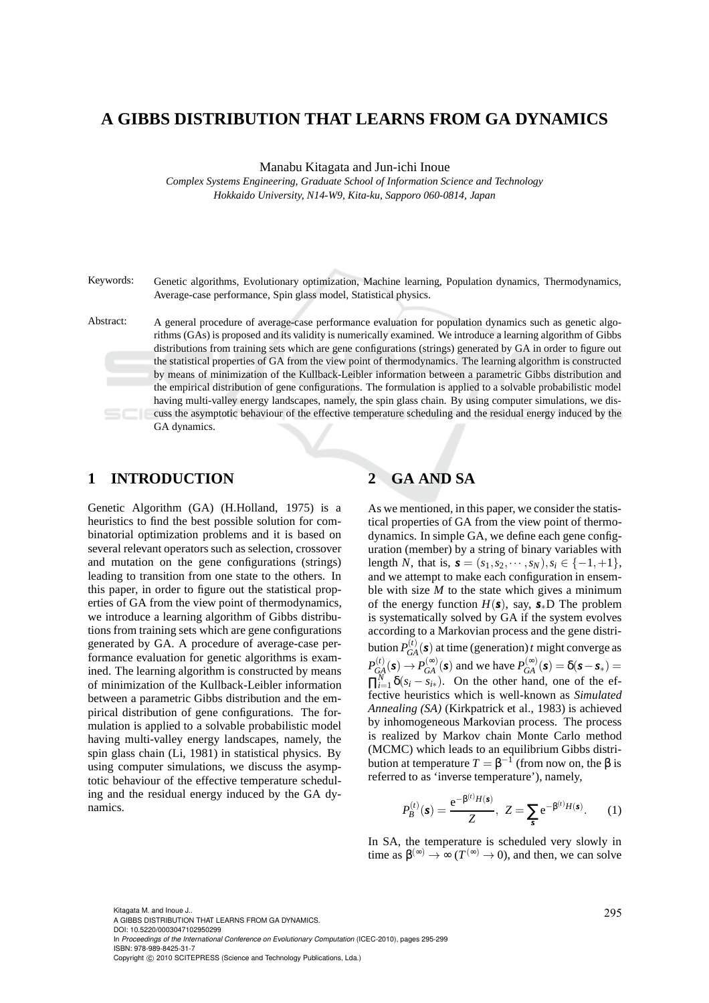# **A GIBBS DISTRIBUTION THAT LEARNS FROM GA DYNAMICS**

Manabu Kitagata and Jun-ichi Inoue

*Complex Systems Engineering, Graduate School of Information Science and Technology Hokkaido University, N14-W9, Kita-ku, Sapporo 060-0814, Japan*

Keywords: Genetic algorithms, Evolutionary optimization, Machine learning, Population dynamics, Thermodynamics, Average-case performance, Spin glass model, Statistical physics.

Abstract: A general procedure of average-case performance evaluation for population dynamics such as genetic algorithms (GAs) is proposed and its validity is numerically examined. We introduce a learning algorithm of Gibbs distributions from training sets which are gene configurations (strings) generated by GA in order to figure out the statistical properties of GA from the view point of thermodynamics. The learning algorithm is constructed by means of minimization of the Kullback-Leibler information between a parametric Gibbs distribution and the empirical distribution of gene configurations. The formulation is applied to a solvable probabilistic model having multi-valley energy landscapes, namely, the spin glass chain. By using computer simulations, we discuss the asymptotic behaviour of the effective temperature scheduling and the residual energy induced by the GA dynamics.

# **1 INTRODUCTION**

Genetic Algorithm (GA) (H.Holland, 1975) is a heuristics to find the best possible solution for combinatorial optimization problems and it is based on several relevant operators such as selection, crossover and mutation on the gene configurations (strings) leading to transition from one state to the others. In this paper, in order to figure out the statistical properties of GA from the view point of thermodynamics, we introduce a learning algorithm of Gibbs distributions from training sets which are gene configurations generated by GA. A procedure of average-case performance evaluation for genetic algorithms is examined. The learning algorithm is constructed by means of minimization of the Kullback-Leibler information between a parametric Gibbs distribution and the empirical distribution of gene configurations. The formulation is applied to a solvable probabilistic model having multi-valley energy landscapes, namely, the spin glass chain (Li, 1981) in statistical physics. By using computer simulations, we discuss the asymptotic behaviour of the effective temperature scheduling and the residual energy induced by the GA dynamics.

# **2 GA AND SA**

As we mentioned, in this paper, we consider the statistical properties of GA from the view point of thermodynamics. In simple GA, we define each gene configuration (member) by a string of binary variables with length *N*, that is,  $\mathbf{s} = (s_1, s_2, \dots, s_N), s_i \in \{-1, +1\},\$ and we attempt to make each configuration in ensemble with size  $M$  to the state which gives a minimum of the energy function  $H(s)$ , say,  $s_*D$  The problem is systematically solved by GA if the system evolves according to a Markovian process and the gene distribution  $P_{GA}^{(t)}(\boldsymbol{s})$  at time (generation) *t* might converge as  $P_{GA}^{(t)}(\mathbf{s}) \rightarrow P_{GA}^{(\infty)}(\mathbf{s})$  and we have  $P_{GA}^{(\infty)}(\mathbf{s}) = \delta(\mathbf{s}-\mathbf{s}_*) = 0$  $\prod_{i=1}^{N} \delta(s_i - s_{i*})$ . On the other hand, one of the effective heuristics which is well-known as *Simulated Annealing (SA)* (Kirkpatrick et al., 1983) is achieved by inhomogeneous Markovian process. The process is realized by Markov chain Monte Carlo method (MCMC) which leads to an equilibrium Gibbs distribution at temperature  $T = \beta^{-1}$  (from now on, the β is referred to as 'inverse temperature'), namely,

$$
P_B^{(t)}(\mathbf{s}) = \frac{e^{-\beta^{(t)}H(\mathbf{s})}}{Z}, \ Z = \sum_{\mathbf{s}} e^{-\beta^{(t)}H(\mathbf{s})}.
$$
 (1)

In SA, the temperature is scheduled very slowly in time as  $\beta^{(\infty)} \to \infty$  ( $T^{(\infty)} \to 0$ ), and then, we can solve

295 Kitagata M. and Inoue J.. A GIBBS DISTRIBUTION THAT LEARNS FROM GA DYNAMICS. DOI: 10.5220/0003047102950299 In *Proceedings of the International Conference on Evolutionary Computation* (ICEC-2010), pages 295-299 ISBN: 978-989-8425-31-7 Copyright © 2010 SCITEPRESS (Science and Technology Publications, Lda.)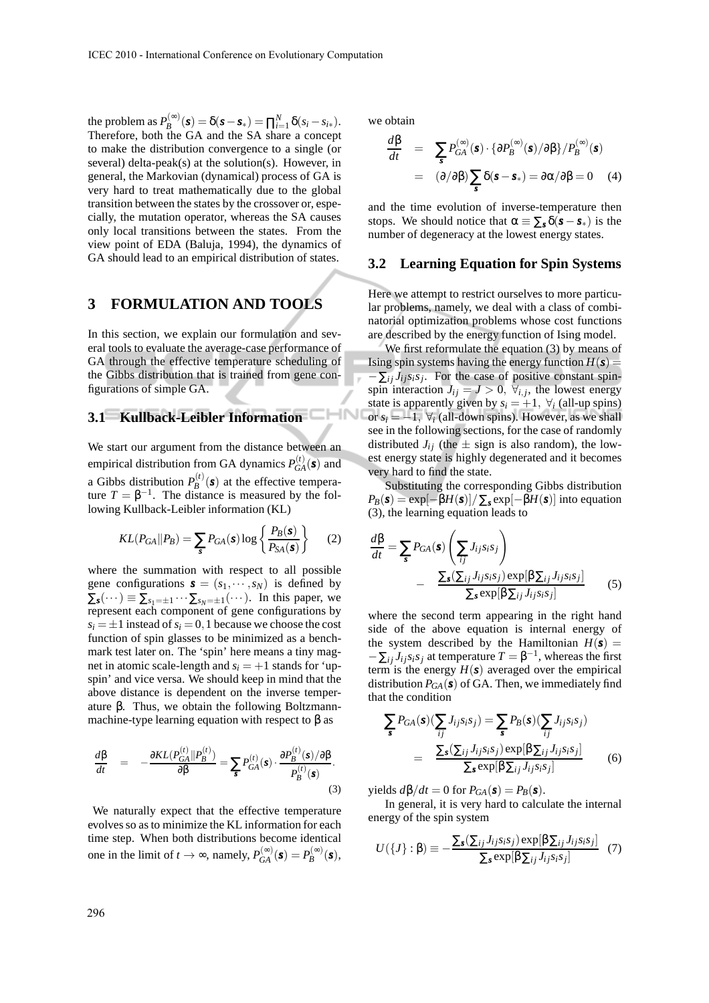the problem as  $P_B^{(\infty)}$  $B_B^{(\infty)}(\mathbf{s}) = \delta(\mathbf{s} - \mathbf{s}_*) = \prod_{i=1}^N \delta(s_i - s_{i*}).$ Therefore, both the GA and the SA share a concept to make the distribution convergence to a single (or several) delta-peak(s) at the solution(s). However, in general, the Markovian (dynamical) process of GA is very hard to treat mathematically due to the global transition between the states by the crossover or, especially, the mutation operator, whereas the SA causes only local transitions between the states. From the view point of EDA (Baluja, 1994), the dynamics of GA should lead to an empirical distribution of states.

# **3 FORMULATION AND TOOLS**

In this section, we explain our formulation and several tools to evaluate the average-case performance of GA through the effective temperature scheduling of the Gibbs distribution that is trained from gene configurations of simple GA.

# **3.1 Kullback-Leibler Information**

We start our argument from the distance between an empirical distribution from GA dynamics  $P_{GA}^{(t)}(\boldsymbol{s})$  and a Gibbs distribution  $P_R^{(t)}$  $B^{(l)}(s)$  at the effective temperature  $T = \beta^{-1}$ . The distance is measured by the following Kullback-Leibler information (KL)

$$
KL(P_{GA}||P_B) = \sum_{s} P_{GA}(s) \log \left\{ \frac{P_B(s)}{P_{SA}(s)} \right\}
$$
 (2)

where the summation with respect to all possible gene configurations  $\mathbf{s} = (s_1, \dots, s_N)$  is defined by  $\Sigma_{\mathbf{s}}(\cdots) \equiv \sum_{s_1=\pm 1} \cdots \sum_{s_N=\pm 1} (\cdots).$  In this paper, we represent each component of gene configurations by  $s_i = \pm 1$  instead of  $s_i = 0, 1$  because we choose the cost function of spin glasses to be minimized as a benchmark test later on. The 'spin' here means a tiny magnet in atomic scale-length and  $s_i = +1$  stands for 'upspin' and vice versa. We should keep in mind that the above distance is dependent on the inverse temperature β. Thus, we obtain the following Boltzmannmachine-type learning equation with respect to  $\beta$  as

$$
\frac{d\beta}{dt} = -\frac{\partial KL(P_{GA}^{(t)}||P_B^{(t)})}{\partial \beta} = \sum_{s} P_{GA}^{(t)}(s) \cdot \frac{\partial P_B^{(t)}(s)/\partial \beta}{P_B^{(t)}(s)}.
$$
\n(3)

We naturally expect that the effective temperature evolves so as to minimize the KL information for each time step. When both distributions become identical one in the limit of  $t \to \infty$ , namely,  $P_{GA}^{(\infty)}(\mathbf{s}) = P_B^{(\infty)}(\mathbf{s})$ ,

we obtain

$$
\frac{d\beta}{dt} = \sum_{s} P_{GA}^{(\infty)}(s) \cdot {\partial P_B^{(\infty)}(s) / \partial \beta} / P_B^{(\infty)}(s)
$$

$$
= (\partial/\partial \beta) \sum_{s} \delta(s - s_*) = \partial \alpha / \partial \beta = 0 \quad (4)
$$

and the time evolution of inverse-temperature then stops. We should notice that  $\alpha \equiv \sum_{s} \delta(s - s_{s})$  is the number of degeneracy at the lowest energy states.

#### **3.2 Learning Equation for Spin Systems**

Here we attempt to restrict ourselves to more particular problems, namely, we deal with a class of combinatorial optimization problems whose cost functions are described by the energy function of Ising model.

We first reformulate the equation (3) by means of Ising spin systems having the energy function  $H(s)$  =  $-\sum_{ij} J_{ij} s_i s_j$ . For the case of positive constant spinspin interaction  $J_{ij} = J > 0$ ,  $\forall_{i,j}$ , the lowest energy state is apparently given by  $s_i = +1$ ,  $\forall i$  (all-up spins) or  $s_i = -1$ ,  $\forall i$  (all-down spins). However, as we shall see in the following sections, for the case of randomly distributed  $J_{ij}$  (the  $\pm$  sign is also random), the lowest energy state is highly degenerated and it becomes very hard to find the state.

Substituting the corresponding Gibbs distribution  $P_B(s) = \exp[-\beta H(s)] / \sum_s \exp[-\beta H(s)]$  into equation (3), the learning equation leads to

$$
\frac{d\beta}{dt} = \sum_{s} P_{GA}(s) \left( \sum_{ij} J_{ij} s_i s_j \right)
$$

$$
- \frac{\sum_{s} (\sum_{ij} J_{ij} s_i s_j) \exp[\beta \sum_{ij} J_{ij} s_i s_j]}{\sum_{s} \exp[\beta \sum_{ij} J_{ij} s_i s_j]} \qquad (5)
$$

where the second term appearing in the right hand side of the above equation is internal energy of the system described by the Hamiltonian  $H(s)$  =  $-\sum_{ij} J_{ij} s_i s_j$  at temperature  $T = \beta^{-1}$ , whereas the first term is the energy  $H(s)$  averaged over the empirical distribution  $P_{GA}(s)$  of GA. Then, we immediately find that the condition

$$
\sum_{s} P_{GA}(s) (\sum_{ij} J_{ij} s_i s_j) = \sum_{s} P_B(s) (\sum_{ij} J_{ij} s_i s_j)
$$
  
= 
$$
\frac{\sum_{s} (\sum_{ij} J_{ij} s_i s_j) \exp[\beta \sum_{ij} J_{ij} s_i s_j]}{\sum_{s} \exp[\beta \sum_{ij} J_{ij} s_i s_j]}
$$
(6)

yields  $d\beta/dt = 0$  for  $P_{GA}(s) = P_B(s)$ .

In general, it is very hard to calculate the internal energy of the spin system

$$
U(\{J\}: \beta) \equiv -\frac{\sum_{s} (\sum_{ij} J_{ij} s_i s_j) \exp[\beta \sum_{ij} J_{ij} s_i s_j]}{\sum_{s} \exp[\beta \sum_{ij} J_{ij} s_i s_j]} \quad (7)
$$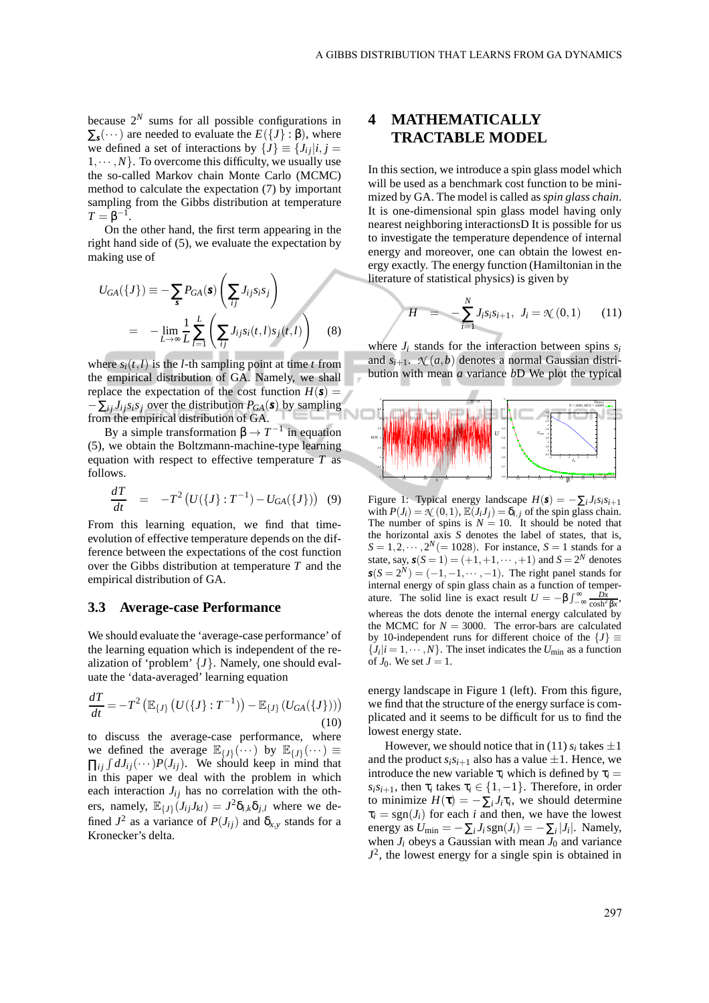because  $2^N$  sums for all possible configurations in  $\Sigma$ <sub>*s*</sub>(...)</sub> are needed to evaluate the  $E({J}; \beta)$ , where we defined a set of interactions by  $\{J\} \equiv \{J_{ij}|i, j =$  $1, \dots, N$ . To overcome this difficulty, we usually use the so-called Markov chain Monte Carlo (MCMC) method to calculate the expectation (7) by important sampling from the Gibbs distribution at temperature  $T = \beta^{-1}$ .

On the other hand, the first term appearing in the right hand side of (5), we evaluate the expectation by making use of

$$
U_{GA}(\lbrace J \rbrace) \equiv -\sum_{\mathbf{s}} P_{GA}(\mathbf{s}) \left( \sum_{ij} J_{ij} s_i s_j \right)
$$

$$
= -\lim_{L \to \infty} \frac{1}{L} \sum_{l=1}^{L} \left( \sum_{ij} J_{ij} s_i(t, l) s_j(t, l) \right) \tag{8}
$$

where  $s_i(t, l)$  is the *l*-th sampling point at time *t* from the empirical distribution of GA. Namely, we shall replace the expectation of the cost function  $H(s)$  =  $-\sum_{i} J_{ij} s_i s_j$  over the distribution  $P_{GA}(s)$  by sampling from the empirical distribution of GA.

By a simple transformation  $β \rightarrow T^{-1}$  in equation (5), we obtain the Boltzmann-machine-type learning equation with respect to effective temperature *T* as follows.

$$
\frac{dT}{dt} = -T^2 \left( U(\{J\} : T^{-1}) - U_{GA}(\{J\}) \right) (9)
$$

From this learning equation, we find that timeevolution of effective temperature depends on the difference between the expectations of the cost function over the Gibbs distribution at temperature *T* and the empirical distribution of GA.

#### **3.3 Average-case Performance**

We should evaluate the 'average-case performance' of the learning equation which is independent of the realization of 'problem' {*J*}. Namely, one should evaluate the 'data-averaged' learning equation

$$
\frac{dT}{dt} = -T^2 \left( \mathbb{E}_{\{J\}} \left( U(\{J\} : T^{-1}) \right) - \mathbb{E}_{\{J\}} \left( U_{GA}(\{J\}) \right) \right) \tag{10}
$$

to discuss the average-case performance, where we defined the average  $\mathbb{E}_{\{J\}}(\cdots)$  by  $\mathbb{E}_{\{J\}}(\cdots) \equiv$  $\prod_{ij} \int dJ_{ij}(\cdots) P(J_{ij})$ . We should keep in mind that in this paper we deal with the problem in which each interaction  $J_{ij}$  has no correlation with the others, namely,  $\mathbb{E}_{\{J\}}(J_{ij}J_{kl}) = J^2 \delta_{i,k} \delta_{j,l}$  where we defined  $J^2$  as a variance of  $P(J_{ij})$  and  $\delta_{x,y}$  stands for a Kronecker's delta.

# **4 MATHEMATICALLY TRACTABLE MODEL**

In this section, we introduce a spin glass model which will be used as a benchmark cost function to be minimized by GA. The model is called as *spin glass chain*. It is one-dimensional spin glass model having only nearest neighboring interactionsD It is possible for us to investigate the temperature dependence of internal energy and moreover, one can obtain the lowest energy exactly. The energy function (Hamiltonian in the literature of statistical physics) is given by

$$
H = -\sum_{i=1}^{N} J_i s_i s_{i+1}, J_i = \mathcal{K}(0,1) \qquad (11)
$$

where  $J_i$  stands for the interaction between spins  $s_i$ and  $s_{i+1}$ .  $\mathcal{N}(a,b)$  denotes a normal Gaussian distribution with mean *a* variance *b*D We plot the typical



Figure 1: Typical energy landscape  $H(s) = -\sum_i J_i s_i s_{i+1}$ with  $P(J_i) = \mathcal{N}(0, 1), \mathbb{E}(J_i J_j) = \delta_{i,j}$  of the spin glass chain. The number of spins is  $N = 10$ . It should be noted that the horizontal axis *S* denotes the label of states, that is,  $S = 1, 2, \cdots, 2^N (= 1028)$ . For instance,  $S = 1$  stands for a state, say,  $s(S = 1) = (+1, +1, \dots, +1)$  and  $S = 2^N$  denotes  $s(S = 2^N) = (-1, -1, \dots, -1)$ . The right panel stands for internal energy of spin glass chain as a function of temperature. The solid line is exact result  $U = -\beta \int_{-\infty}^{\infty} \frac{D\bar{x}}{\cosh^2 \beta x}$ , whereas the dots denote the internal energy calculated by the MCMC for  $N = 3000$ . The error-bars are calculated by 10-independent runs for different choice of the  ${J} \equiv$  $\{J_i | i = 1, \cdots, N\}$ . The inset indicates the  $U_{\text{min}}$  as a function of  $J_0$ . We set  $J = 1$ .

energy landscape in Figure 1 (left). From this figure, we find that the structure of the energy surface is complicated and it seems to be difficult for us to find the lowest energy state.

However, we should notice that in (11)  $s_i$  takes  $\pm 1$ and the product  $s_i s_{i+1}$  also has a value  $\pm 1$ . Hence, we introduce the new variable  $\tau_i$  which is defined by  $\tau_i$  =  $s_i s_{i+1}$ , then  $\tau_i$  takes  $\tau_i \in \{1, -1\}$ . Therefore, in order to minimize  $H(\tau) = -\sum_i J_i \tau_i$ , we should determine  $\tau_i = \text{sgn}(J_i)$  for each *i* and then, we have the lowest energy as  $U_{\text{min}} = -\sum_i J_i \text{sgn}(J_i) = -\sum_i |J_i|$ . Namely, when  $J_i$  obeys a Gaussian with mean  $J_0$  and variance  $J^2$ , the lowest energy for a single spin is obtained in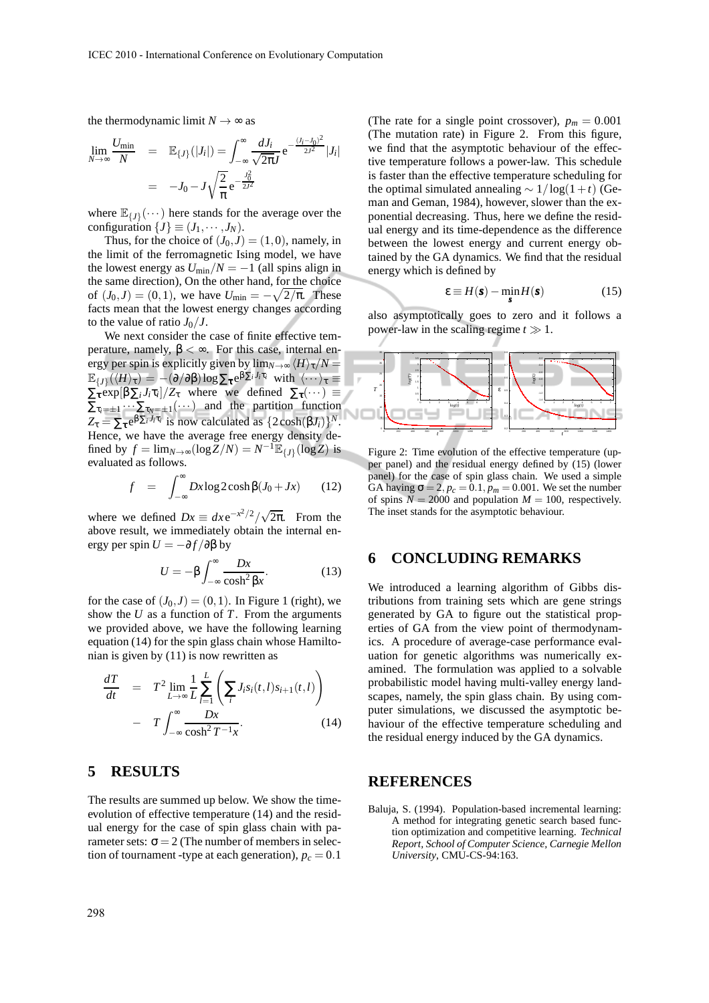the thermodynamic limit  $N \rightarrow \infty$  as

$$
\lim_{N \to \infty} \frac{U_{\min}}{N} = \mathbb{E}_{\{J\}}(|J_i|) = \int_{-\infty}^{\infty} \frac{dJ_i}{\sqrt{2\pi}J} e^{-\frac{(J_i - J_0)^2}{2J^2}} |J_i|
$$

$$
= -J_0 - J \sqrt{\frac{2}{\pi}} e^{-\frac{J_0^2}{2J^2}}
$$

where  $\mathbb{E}_{\{J\}}(\cdots)$  here stands for the average over the configuration  $\{J\} \equiv (J_1, \cdots, J_N)$ .

Thus, for the choice of  $(J_0, J) = (1, 0)$ , namely, in the limit of the ferromagnetic Ising model, we have the lowest energy as  $U_{\text{min}}/N = -1$  (all spins align in the same direction), On the other hand, for the choice of  $(J_0, J) = (0, 1)$ , we have  $U_{\text{min}} = -\sqrt{2/\pi}$ . These facts mean that the lowest energy changes according to the value of ratio  $J_0/J$ .

We next consider the case of finite effective temperature, namely, β < ∞. For this case, internal energy per spin is explicitly given by  $\lim_{N\to\infty}$   $\langle H\rangle_{\tau}/N =$  $\mathbb{E}_{\{J\}}(\langle H \rangle_{\tau}) = -(\partial/\partial \beta) \log \sum_{\tau} e^{\beta \sum_i J_i \tau_i} \text{ with } \langle \cdots \rangle_{\tau} \equiv$  $\sum_{\tau} \exp[\beta \sum_{i} J_{i} \tau_{i}]/Z_{\tau}$  where we defined  $\sum_{\tau} (\cdots) \equiv$  $\sum_{\tau_i=\pm 1} \cdots \sum_{\tau_N=\pm 1} (\cdots)$  and the partition function  $Z_{\tau} = \sum_{\tau} e^{\beta \sum_i J_i \tau_i}$  is now calculated as  $\{2 \cosh(\beta J_i)\}^N$ . Hence, we have the average free energy density defined by  $f = \lim_{N \to \infty} (\log Z/N) = N^{-1} \mathbb{E}_{\{J\}}(\log Z)$  is evaluated as follows.

$$
f = \int_{-\infty}^{\infty} Dx \log 2 \cosh \beta (J_0 + Jx) \qquad (12)
$$

where we defined  $Dx \equiv dx e^{-x^2/2}/\sqrt{2\pi}$ . From the above result, we immediately obtain the internal energy per spin  $U = -\partial f / \partial \beta$  by

$$
U = -\beta \int_{-\infty}^{\infty} \frac{Dx}{\cosh^2 \beta x}.
$$
 (13)

for the case of  $(J_0, J) = (0, 1)$ . In Figure 1 (right), we show the *U* as a function of *T*. From the arguments we provided above, we have the following learning equation (14) for the spin glass chain whose Hamiltonian is given by (11) is now rewritten as

$$
\frac{dT}{dt} = T^2 \lim_{L \to \infty} \frac{1}{L} \sum_{l=1}^{L} \left( \sum_{i} J_i s_i(t, l) s_{i+1}(t, l) \right)
$$

$$
- T \int_{-\infty}^{\infty} \frac{Dx}{\cosh^2 T^{-1} x}.
$$
(14)

## **5 RESULTS**

The results are summed up below. We show the timeevolution of effective temperature (14) and the residual energy for the case of spin glass chain with parameter sets:  $\sigma = 2$  (The number of members in selection of tournament -type at each generation),  $p_c = 0.1$ 

(The rate for a single point crossover),  $p_m = 0.001$ (The mutation rate) in Figure 2. From this figure, we find that the asymptotic behaviour of the effective temperature follows a power-law. This schedule is faster than the effective temperature scheduling for the optimal simulated annealing  $\sim 1/\log(1+t)$  (Geman and Geman, 1984), however, slower than the exponential decreasing. Thus, here we define the residual energy and its time-dependence as the difference between the lowest energy and current energy obtained by the GA dynamics. We find that the residual energy which is defined by

$$
\varepsilon \equiv H(\mathbf{s}) - \min_{\mathbf{s}} H(\mathbf{s}) \tag{15}
$$

also asymptotically goes to zero and it follows a power-law in the scaling regime *t* ≫ 1.



Figure 2: Time evolution of the effective temperature (upper panel) and the residual energy defined by (15) (lower panel) for the case of spin glass chain. We used a simple GA having  $\sigma = 2$ ,  $p_c = 0.1$ ,  $p_m = 0.001$ . We set the number of spins  $N = 2000$  and population  $M = 100$ , respectively. The inset stands for the asymptotic behaviour.

## **6 CONCLUDING REMARKS**

We introduced a learning algorithm of Gibbs distributions from training sets which are gene strings generated by GA to figure out the statistical properties of GA from the view point of thermodynamics. A procedure of average-case performance evaluation for genetic algorithms was numerically examined. The formulation was applied to a solvable probabilistic model having multi-valley energy landscapes, namely, the spin glass chain. By using computer simulations, we discussed the asymptotic behaviour of the effective temperature scheduling and the residual energy induced by the GA dynamics.

## **REFERENCES**

Baluja, S. (1994). Population-based incremental learning: A method for integrating genetic search based function optimization and competitive learning. *Technical Report, School of Computer Science, Carnegie Mellon University*, CMU-CS-94:163.